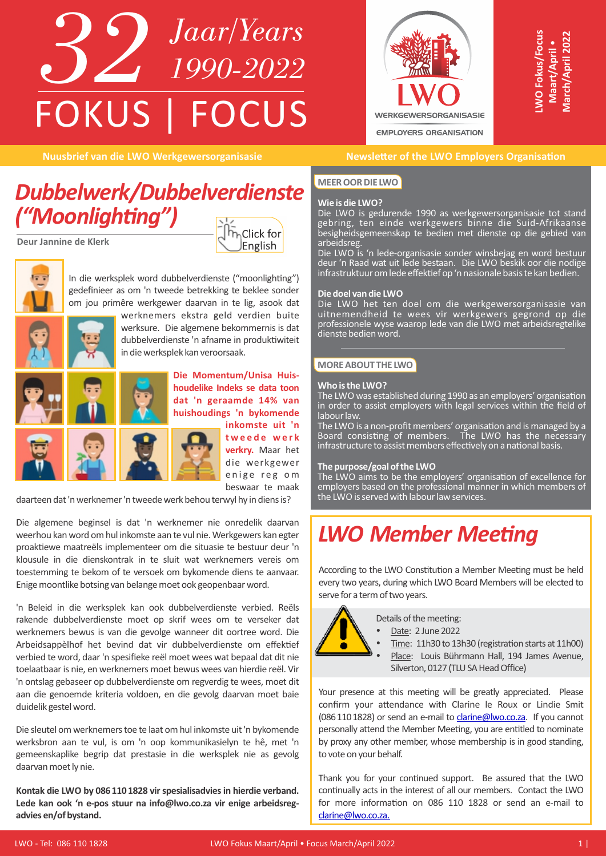## *32 Jaar/Years 1990-2022* FOKUS | FOCUS



**WO Fokus/Focus O Fokus/Focus Maart/April** • **March/ April 2022**

### *Dubbelwerk/Dubbelverdienste ("Moonlighng")*

**Deur Jannine de Klerk**





In die werksplek word dubbelverdienste ("moonlighting") gedefinieer as om 'n tweede betrekking te beklee sonder om jou primêre werkgewer daarvan in te lig, asook dat



werknemers ekstra geld verdien buite werksure. Die algemene bekommernis is dat dubbelverdienste 'n afname in produktiwiteit in die werksplek kan veroorsaak.



**Die Momentum/Unisa Huishoudelike Indeks se data toon dat 'n geraamde 14% van huishoudings 'n bykomende inkomste uit 'n** 



**t w e e d e w e r k verkry.** Maar het die werkgewer enige reg om beswaar te maak

daarteen dat 'n werknemer 'n tweede werk behou terwyl hy in diens is?

Die algemene beginsel is dat 'n werknemer nie onredelik daarvan weerhou kan word om hul inkomste aan te vul nie. Werkgewers kan egter proaktiewe maatreëls implementeer om die situasie te bestuur deur 'n klousule in die dienskontrak in te sluit wat werknemers vereis om toestemming te bekom of te versoek om bykomende diens te aanvaar. Enige moontlike botsing van belange moet ook geopenbaar word.

'n Beleid in die werksplek kan ook dubbelverdienste verbied. Reëls rakende dubbelverdienste moet op skrif wees om te verseker dat werknemers bewus is van die gevolge wanneer dit oortree word. Die Arbeidsappèlhof het bevind dat vir dubbelverdienste om effektief verbied te word, daar 'n spesifieke reël moet wees wat bepaal dat dit nie toelaatbaar is nie, en werknemers moet bewus wees van hierdie reël. Vir 'n ontslag gebaseer op dubbelverdienste om regverdig te wees, moet dit aan die genoemde kriteria voldoen, en die gevolg daarvan moet baie duidelik gestel word.

Die sleutel om werknemers toe te laat om hul inkomste uit 'n bykomende werksbron aan te vul, is om 'n oop kommunikasielyn te hê, met 'n gemeenskaplike begrip dat prestasie in die werksplek nie as gevolg daarvan moet ly nie.

**Kontak die LWO by 0861101828 vir spesialisadvies in hierdie verband. Lede kan ook 'n e-pos stuur na info@lwo.co.za vir enige arbeidsregadvies en/of bystand.**

### **Nuusbrief van die LWO Werkgewersorganisasie betaan die Newsletter of the LWO Employers Organisation**

### **MEER OOR DIE LWO**

### **Wie is die LWO?**

Die LWO is gedurende 1990 as werkgewersorganisasie tot stand gebring, ten einde werkgewers binne die Suid-Afrikaanse besigheidsgemeenskap te bedien met dienste op die gebied van arbeidsreg.

Die LWO is 'n lede-organisasie sonder winsbejag en word bestuur deur 'n Raad wat uit lede bestaan. Die LWO beskik oor die nodige infrastruktuur om lede effektief op 'n nasionale basis te kan bedien.

### **Die doel van die LWO**

Die LWO het ten doel om die werkgewersorganisasie van uitnemendheid te wees vir werkgewers gegrond op die professionele wyse waarop lede van die LWO met arbeidsregtelike dienste bedien word.

### **MORE ABOUT THE LWO**

#### **Who is the LWO?**

The LWO was established during 1990 as an employers' organisation in order to assist employers with legal services within the field of labour law.

The LWO is a non-profit members' organisation and is managed by a Board consisting of members. The LWO has the necessary infrastructure to assist members effectively on a national basis.

#### **The purpose/goal of the LWO**

The LWO aims to be the employers' organisation of excellence for employers based on the professional manner in which members of the LWO is served with labour law services.

### **LWO Member Meeting**

According to the LWO Constitution a Member Meeting must be held every two years, during which LWO Board Members will be elected to serve for a term of two years.



Details of the meeting:

Date: 2 June 2022

Time: 11h30 to 13h30 (registration starts at 11h00) Place: Louis Bührmann Hall, 194 James Avenue, Silverton, 0127 (TLU SA Head Office)

Your presence at this meeting will be greatly appreciated. Please confirm your attendance with Clarine le Roux or Lindie Smit (0861101828) or send an e-mail to clarine@lwo.co.za. If you cannot personally attend the Member Meeting, you are entitled to nominate by proxy any other member, whose membership is in good standing, to vote on your behalf.

Thank you for your continued support. Be assured that the LWO continually acts in the interest of all our members. Contact the LWO for more information on 086 110 1828 or send an e-mail to clarine@lwo.co.za.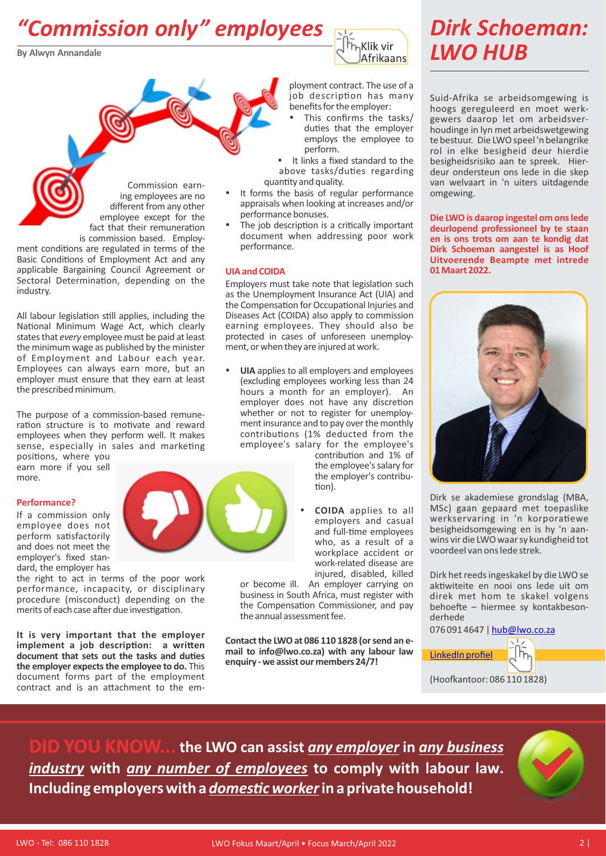### *"Commission only" employees*

**By Alwyn Annandale**



### *Dirk Schoeman: LWO HUB*

Commission earning employees are no different from any other employee except for the fact that their remuneration is commission based. Employ-

ment conditions are regulated in terms of the Basic Conditions of Employment Act and any applicable Bargaining Council Agreement or Sectoral Determination, depending on the industry.

All labour legislation still applies, including the National Minimum Wage Act, which clearly states that *every* employee must be paid at least the minimum wage as published by the minister of Employment and Labour each year. Employees can always earn more, but an employer must ensure that they earn at least the prescribed minimum.

The purpose of a commission-based remuneration structure is to motivate and reward employees when they perform well. It makes sense, especially in sales and marketing

positions, where you earn more if you sell more.

### **Performance?**

If a commission only employee does not perform satisfactorily and does not meet the employer's fixed standard, the employer has

the right to act in terms of the poor work performance, incapacity, or disciplinary procedure (misconduct) depending on the merits of each case after due investigation.

**It is very important that the employer**   $i$ **mplement** a job description: a written document that sets out the tasks and duties **the employer expects the employee to do.** This document forms part of the employment contract and is an attachment to the employment contract. The use of a job description has many benefits for the employer:

- This confirms the tasks/ duties that the employer employs the employee to perform.
- It links a fixed standard to the above tasks/duties regarding quantity and quality.
- It forms the basis of regular performance appraisals when looking at increases and/or performance bonuses.
- The job description is a critically important document when addressing poor work performance.

### **UIA and COIDA**

Employers must take note that legislation such as the Unemployment Insurance Act (UIA) and the Compensation for Occupational Injuries and Diseases Act (COIDA) also apply to commission earning employees. They should also be protected in cases of unforeseen unemployment, or when they are injured at work.

UIA applies to all employers and employees (excluding employees working less than 24 hours a month for an employer). An employer does not have any discretion whether or not to register for unemployment insurance and to pay over the monthly contributions (1% deducted from the employee's salary for the employee's

> contribution and 1% of the employee's salary for the employer's contribu tion).

**COIDA** applies to all employers and casual and full-time employees who, as a result of a workplace accident or work-related disease are injured, disabled, killed

or become ill. An employer carrying on business in South Africa, must register with the Compensation Commissioner, and pay the annual assessment fee.

**Contact the LWO at 086 110 1828 (or send an email to info@lwo.co.za) with any labour law enquiry - we assist our members 24/7!**

Suid-Afrika se arbeidsomgewing is hoogs gereguleerd en moet werkgewers daarop let om arbeidsverhoudinge in lyn met arbeidswetgewing te bestuur. Die LWO speel 'n belangrike rol in elke besigheid deur hierdie besigheidsrisiko aan te spreek. Hierdeur ondersteun ons lede in die skep van welvaart in 'n uiters uitdagende omgewing.

**Die LWO is daarop ingestel om ons lede deurlopend professioneel by te staan en is ons trots om aan te kondig dat Dirk Schoeman aangestel is as Hoof Uitvoerende Beampte met intrede 01Maart2022.**



Dirk se akademiese grondslag (MBA, MSc) gaan gepaard met toepaslike werkservaring in 'n korporatiewe besigheidsomgewing en is hy 'n aanwins vir die LWO waar sy kundigheid tot voordeel van ons lede strek.

Dirk het reeds ingeskakel by die LWO se aktiwiteite en nooi ons lede uit om direk met hom te skakel volgens behoefte – hiermee sy kontakbesonderhede

076 091 4647 | hub@lwo.co.za



**DID YOU KNOW... the LWO can assist** *any employer* **in** *any business industry* **with** *any number of employees* **to comply with labour law.**  Including employers with a *domestic worker* in a private household!

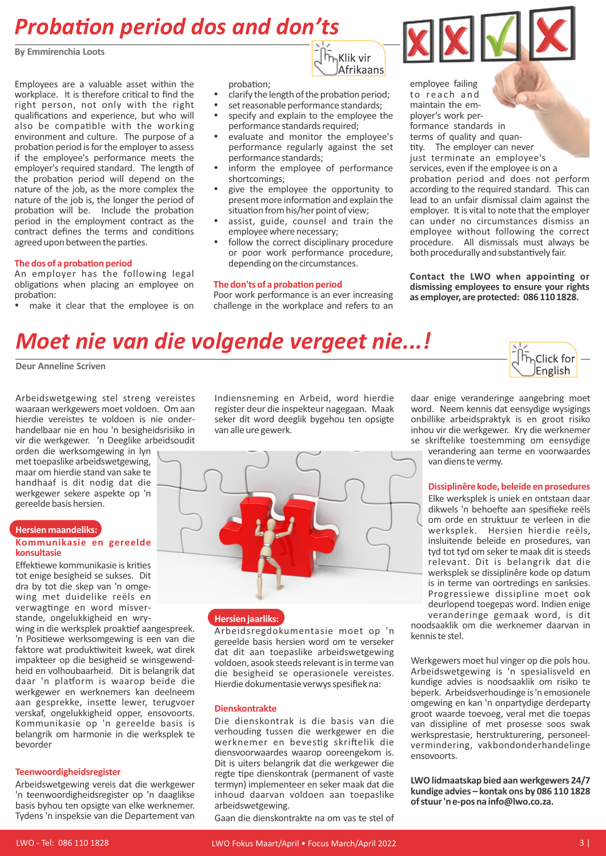### **Probation period dos and don'ts**

**By Emmirenchia Loots**

Employees are a valuable asset within the workplace. It is therefore critical to find the right person, not only with the right qualifications and experience, but who will also be compatible with the working environment and culture. The purpose of a probation period is for the employer to assess if the employee's performance meets the employer's required standard. The length of the probation period will depend on the nature of the job, as the more complex the nature of the job is, the longer the period of probation will be. Include the probation period in the employment contract as the contract defines the terms and conditions agreed upon between the parties.

### **The dos of a probation period**

An employer has the following legal obligations when placing an employee on probation:

make it clear that the employee is on

probation:

clarify the length of the probation period:

h<sub>n</sub>Klik vir Afrikaans

- set reasonable performance standards;<br>• specify and explain to the employee the
- specify and explain to the employee the performance standards required;
- evaluate and monitor the employee's performance regularly against the set performance standards;
- inform the employee of performance shortcomings;
- give the employee the opportunity to present more information and explain the situation from his/her point of view;
- assist, guide, counsel and train the employee where necessary;
- follow the correct disciplinary procedure or poor work performance procedure, depending on the circumstances.

#### **The don'ts of a probation period**

Poor work performance is an ever increasing challenge in the workplace and refers to an



**Contact the LWO when appoinng or dismissing employees to ensure your rights as employer, are protected: 086 110 1828.**

### *Moet nie van die volgende vergeet nie...!*

**Deur Anneline Scriven**

Arbeidswetgewing stel streng vereistes waaraan werkgewers moet voldoen. Om aan hierdie vereistes te voldoen is nie onderhandelbaar nie en hou 'n besigheidsrisiko in vir die werkgewer. 'n Deeglike arbeidsoudit

orden die werksomgewing in lyn met toepaslike arbeidswetgewing, maar om hierdie stand van sake te handhaaf is dit nodig dat die werkgewer sekere aspekte op 'n gereelde basis hersien.

### **Hersien maandeliks: Kommunikasie en gereelde konsultasie**

Effektiewe kommunikasie is krities tot enige besigheid se sukses. Dit dra by tot die skep van 'n omgewing met duidelike reëls en verwagtinge en word misverstande, ongelukkigheid en wry-

wing in die werksplek proaktief aangespreek. 'n Positiewe werksomgewing is een van die faktore wat produktiwiteit kweek, wat direk impakteer op die besigheid se winsgewendheid en volhoubaarheid. Dit is belangrik dat daar 'n platform is waarop beide die werkgewer en werknemers kan deelneem aan gesprekke, insette lewer, terugvoer verskaf, ongelukkigheid opper, ensovoorts. Kommunikasie op 'n gereelde basis is belangrik om harmonie in die werksplek te bevorder

#### **Teenwoordigheidsregister**

Arbeidswetgewing vereis dat die werkgewer 'n teenwoordigheidsregister op 'n daaglikse basis byhou ten opsigte van elke werknemer. Tydens 'n inspeksie van die Departement van

Indiensneming en Arbeid, word hierdie register deur die inspekteur nagegaan. Maak seker dit word deeglik bygehou ten opsigte van alle ure gewerk.



### **Hersien jaarliks:**

Arbeidsregdokumentasie moet op 'n gereelde basis hersien word om te verseker dat dit aan toepaslike arbeidswetgewing voldoen, asook steeds relevant is in terme van die besigheid se operasionele vereistes. Hierdie dokumentasie verwys spesifiek na:

#### **Dienskontrakte**

Die dienskontrak is die basis van die verhouding tussen die werkgewer en die werknemer en bevestig skriftelik die diensvoorwaardes waarop ooreengekom is. Dit is uiters belangrik dat die werkgewer die regte tipe dienskontrak (permanent of vaste termyn) implementeer en seker maak dat die inhoud daarvan voldoen aan toepaslike arbeidswetgewing.

Gaan die dienskontrakte na om vas te stel of

daar enige veranderinge aangebring moet word. Neem kennis dat eensydige wysigings onbillike arbeidspraktyk is en groot risiko inhou vir die werkgewer. Kry die werknemer se skriftelike toestemming om eensydige

Click for English

verandering aan terme en voorwaardes van diens te vermy.

#### **Dissiplinêre kode, beleide en prosedures**

Elke werksplek is uniek en ontstaan daar dikwels 'n behoefte aan spesifieke reëls om orde en struktuur te verleen in die werksplek. Hersien hierdie reëls, insluitende beleide en prosedures, van tyd tot tyd om seker te maak dit is steeds relevant. Dit is belangrik dat die werksplek se dissiplinêre kode op datum is in terme van oortredings en sanksies. Progressiewe dissipline moet ook deurlopend toegepas word. Indien enige veranderinge gemaak word, is dit noodsaaklik om die werknemer daarvan in kennis te stel.

Werkgewers moet hul vinger op die pols hou. Arbeidswetgewing is 'n spesialisveld en kundige advies is noodsaaklik om risiko te beperk. Arbeidsverhoudinge is 'n emosionele omgewing en kan 'n onpartydige derdeparty groot waarde toevoeg, veral met die toepas van dissipline of met prosesse soos swak werksprestasie, herstrukturering, personeelvermindering, vakbondonderhandelinge ensovoorts.

**LWO lidmaatskap bied aan werkgewers 24/7 kundige advies – kontak ons by 086 110 1828 of stuur 'n e-pos na info@lwo.co.za.**